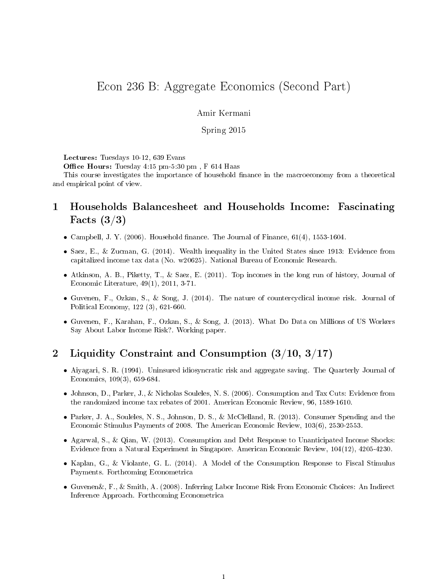# Econ 236 B: Aggregate Economics (Second Part)

Amir Kermani

Spring 2015

Lectures: Tuesdays 10-12, 639 Evans

Office Hours: Tuesday 4:15 pm-5:30 pm, F 614 Haas

This course investigates the importance of household finance in the macroeconomy from a theoretical and empirical point of view.

## 1 Households Balancesheet and Households Income: Fascinating Facts (3/3)

- Campbell, J. Y. (2006). Household finance. The Journal of Finance,  $61(4)$ ,  $1553-1604$ .
- Saez, E., & Zucman, G. (2014). Wealth inequality in the United States since 1913: Evidence from capitalized income tax data (No. w20625). National Bureau of Economic Research.
- Atkinson, A. B., Piketty, T., & Saez, E. (2011). Top incomes in the long run of history, Journal of Economic Literature, 49(1), 2011, 3-71.
- Guvenen, F., Ozkan, S., & Song, J. (2014). The nature of countercyclical income risk. Journal of Political Economy, 122 (3), 621-660.
- Guvenen, F., Karahan, F., Ozkan, S., & Song, J. (2013). What Do Data on Millions of US Workers Say About Labor Income Risk?. Working paper.

## 2 Liquidity Constraint and Consumption (3/10, 3/17)

- Aiyagari, S. R. (1994). Uninsured idiosyncratic risk and aggregate saving. The Quarterly Journal of Economics, 109(3), 659-684.
- Johnson, D., Parker, J., & Nicholas Souleles, N. S. (2006). Consumption and Tax Cuts: Evidence from the randomized income tax rebates of 2001. American Economic Review, 96, 1589-1610.
- Parker, J. A., Souleles, N. S., Johnson, D. S., & McClelland, R. (2013). Consumer Spending and the Economic Stimulus Payments of 2008. The American Economic Review, 103(6), 2530-2553.
- Agarwal, S., & Qian, W. (2013). Consumption and Debt Response to Unanticipated Income Shocks: Evidence from a Natural Experiment in Singapore. American Economic Review, 104(12), 4205-4230.
- Kaplan, G., & Violante, G. L. (2014). A Model of the Consumption Response to Fiscal Stimulus Payments. Forthcoming Econometrica
- Guvenen&, F., & Smith, A. (2008). Inferring Labor Income Risk From Economic Choices: An Indirect Inference Approach. Forthcoming Econometrica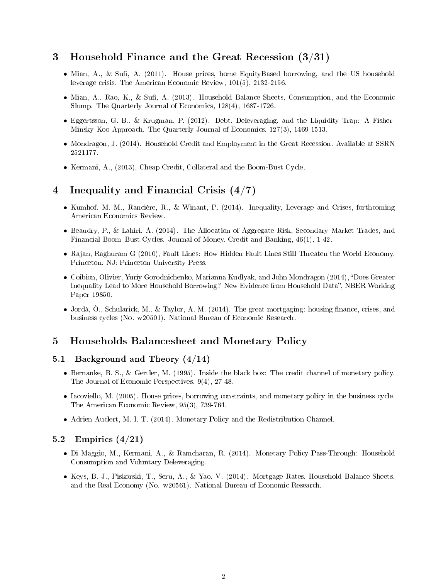#### 3 Household Finance and the Great Recession (3/31)

- Mian, A., & Sufi, A. (2011). House prices, home EquityBased borrowing, and the US household leverage crisis. The American Economic Review, 101(5), 2132-2156.
- Mian, A., Rao, K., & Sufi, A. (2013). Household Balance Sheets, Consumption, and the Economic Slump. The Quarterly Journal of Economics, 128(4), 1687-1726.
- Eggertsson, G. B., & Krugman, P. (2012). Debt, Deleveraging, and the Liquidity Trap: A Fisher-Minsky-Koo Approach. The Quarterly Journal of Economics, 127(3), 1469-1513.
- Mondragon, J. (2014). Household Credit and Employment in the Great Recession. Available at SSRN 2521177.
- Kermani, A., (2013), Cheap Credit, Collateral and the Boom-Bust Cycle.

## 4 Inequality and Financial Crisis (4/7)

- Kumhof, M. M., Rancière, R., & Winant, P. (2014). Inequality, Leverage and Crises, forthcoming American Economics Review.
- Beaudry, P., & Lahiri, A. (2014). The Allocation of Aggregate Risk, Secondary Market Trades, and Financial Boom-Bust Cycles. Journal of Money, Credit and Banking,  $46(1)$ , 1-42.
- Rajan, Raghuram G (2010), Fault Lines: How Hidden Fault Lines Still Threaten the World Economy, Princeton, NJ: Princeton University Press.
- Coibion, Olivier, Yuriy Gorodnichenko, Marianna Kudlyak, and John Mondragon (2014), "Does Greater Inequality Lead to More Household Borrowing? New Evidence from Household Data", NBER Working Paper 19850.
- Jordà,  $\hat{O}$ ., Schularick, M., & Taylor, A. M. (2014). The great mortgaging: housing finance, crises, and business cycles (No. w20501). National Bureau of Economic Research.

### 5 Households Balancesheet and Monetary Policy

#### 5.1 Background and Theory (4/14)

- Bernanke, B. S., & Gertler, M. (1995). Inside the black box: The credit channel of monetary policy. The Journal of Economic Perspectives, 9(4), 27-48.
- Iacoviello, M. (2005). House prices, borrowing constraints, and monetary policy in the business cycle. The American Economic Review, 95(3), 739-764.
- Adrien Auclert, M. I. T. (2014). Monetary Policy and the Redistribution Channel.

#### 5.2 Empirics  $(4/21)$

- Di Maggio, M., Kermani, A., & Ramcharan, R. (2014). Monetary Policy Pass-Through: Household Consumption and Voluntary Deleveraging.
- Keys, B. J., Piskorski, T., Seru, A., & Yao, V. (2014). Mortgage Rates, Household Balance Sheets, and the Real Economy (No. w20561). National Bureau of Economic Research.